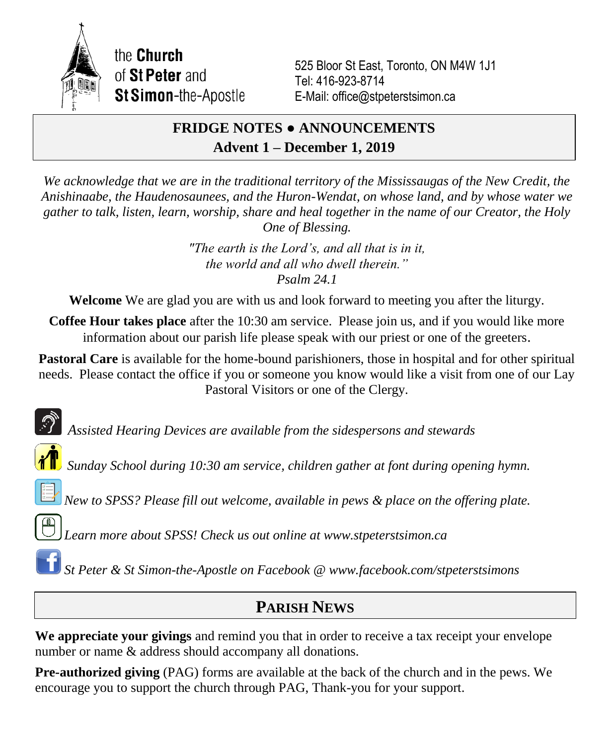

the **Church** of St Peter and **St Simon-the-Apostle** 

525 Bloor St East, Toronto, ON M4W 1J1 Tel: 416-923-8714 E-Mail: office@stpeterstsimon.ca

# **FRIDGE NOTES ● ANNOUNCEMENTS Advent 1 – December 1, 2019**

*We acknowledge that we are in the traditional territory of the Mississaugas of the New Credit, the Anishinaabe, the Haudenosaunees, and the Huron-Wendat, on whose land, and by whose water we gather to talk, listen, learn, worship, share and heal together in the name of our Creator, the Holy One of Blessing.*

> *"The earth is the Lord's, and all that is in it, the world and all who dwell therein." Psalm 24.1*

**Welcome** We are glad you are with us and look forward to meeting you after the liturgy.

**Coffee Hour takes place** after the 10:30 am service. Please join us, and if you would like more information about our parish life please speak with our priest or one of the greeters.

**Pastoral Care** is available for the home-bound parishioners, those in hospital and for other spiritual needs. Please contact the office if you or someone you know would like a visit from one of our Lay Pastoral Visitors or one of the Clergy.

*Assisted Hearing Devices are available from the sidespersons and stewards*

*Sunday School during 10:30 am service, children gather at font during opening hymn.*

*New to SPSS? Please fill out welcome, available in pews & place on the offering plate.*

*Learn more about SPSS! Check us out online at www.stpeterstsimon.ca*

*St Peter & St Simon-the-Apostle on Facebook @ www.facebook.com/stpeterstsimons*

# **PARISH NEWS**

**We appreciate your givings** and remind you that in order to receive a tax receipt your envelope number or name & address should accompany all donations.

**Pre-authorized giving** (PAG) forms are available at the back of the church and in the pews. We encourage you to support the church through PAG, Thank-you for your support.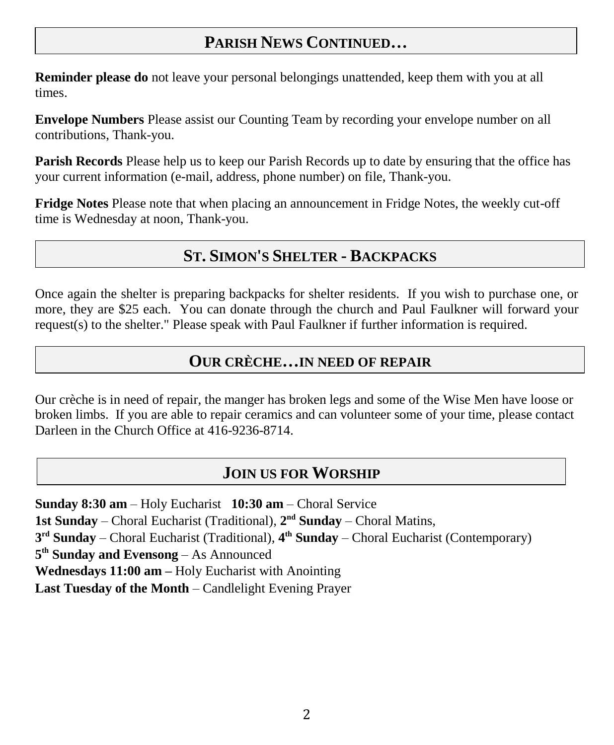# **PARISH NEWS CONTINUED…**

**Reminder please do** not leave your personal belongings unattended, keep them with you at all times.

**Envelope Numbers** Please assist our Counting Team by recording your envelope number on all contributions, Thank-you.

**Parish Records** Please help us to keep our Parish Records up to date by ensuring that the office has your current information (e-mail, address, phone number) on file, Thank-you.

**Fridge Notes** Please note that when placing an announcement in Fridge Notes, the weekly cut-off time is Wednesday at noon, Thank-you.

# **ST. SIMON'S SHELTER - BACKPACKS**

Once again the shelter is preparing backpacks for shelter residents. If you wish to purchase one, or more, they are \$25 each. You can donate through the church and Paul Faulkner will forward your request(s) to the shelter." Please speak with Paul Faulkner if further information is required.

### **OUR CRÈCHE…IN NEED OF REPAIR**

Our crèche is in need of repair, the manger has broken legs and some of the Wise Men have loose or broken limbs. If you are able to repair ceramics and can volunteer some of your time, please contact Darleen in the Church Office at 416-9236-8714.

## **JOIN US FOR WORSHIP**

**Sunday 8:30 am** – Holy Eucharist **10:30 am** – Choral Service 1st Sunday – Choral Eucharist (Traditional),  $2<sup>nd</sup>$  Sunday – Choral Matins, **3 rd Sunday** – Choral Eucharist (Traditional), **4 th Sunday** – Choral Eucharist (Contemporary) **5 th Sunday and Evensong** – As Announced **Wednesdays 11:00 am –** Holy Eucharist with Anointing **Last Tuesday of the Month** – Candlelight Evening Prayer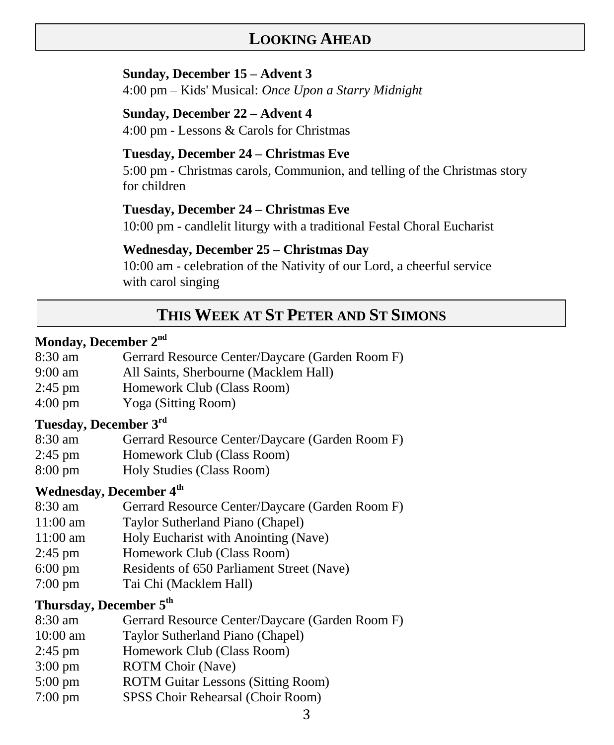# **LOOKING AHEAD**

#### **Sunday, December 15 – Advent 3**

4:00 pm – Kids' Musical: *Once Upon a Starry Midnight*

#### **Sunday, December 22 – Advent 4**

4:00 pm - Lessons & Carols for Christmas

#### **Tuesday, December 24 – Christmas Eve**

5:00 pm - Christmas carols, Communion, and telling of the Christmas story for children

#### **Tuesday, December 24 – Christmas Eve**

10:00 pm - candlelit liturgy with a traditional Festal Choral Eucharist

#### **Wednesday, December 25 – Christmas Day**

10:00 am - celebration of the Nativity of our Lord, a cheerful service with carol singing

# **THIS WEEK AT ST PETER AND ST SIMONS**

#### **Monday, December 2nd**

- 8:30 am Gerrard Resource Center/Daycare (Garden Room F)
- 9:00 am All Saints, Sherbourne (Macklem Hall)
- 2:45 pm Homework Club (Class Room)
- 4:00 pm Yoga (Sitting Room)

## **Tuesday, December 3rd**

- 8:30 am Gerrard Resource Center/Daycare (Garden Room F)
- 2:45 pm Homework Club (Class Room)
- 8:00 pm Holy Studies (Class Room)

### **Wednesday, December 4th**

- 8:30 am Gerrard Resource Center/Daycare (Garden Room F)
- 11:00 am Taylor Sutherland Piano (Chapel)
- 11:00 am Holy Eucharist with Anointing (Nave)
- 2:45 pm Homework Club (Class Room)
- 6:00 pm Residents of 650 Parliament Street (Nave)
- 7:00 pm Tai Chi (Macklem Hall)

### **Thursday, December 5th**

- 8:30 am Gerrard Resource Center/Daycare (Garden Room F)
- 10:00 am Taylor Sutherland Piano (Chapel)
- 2:45 pm Homework Club (Class Room)
- 3:00 pm ROTM Choir (Nave)
- 5:00 pm ROTM Guitar Lessons (Sitting Room)
- 7:00 pm SPSS Choir Rehearsal (Choir Room)